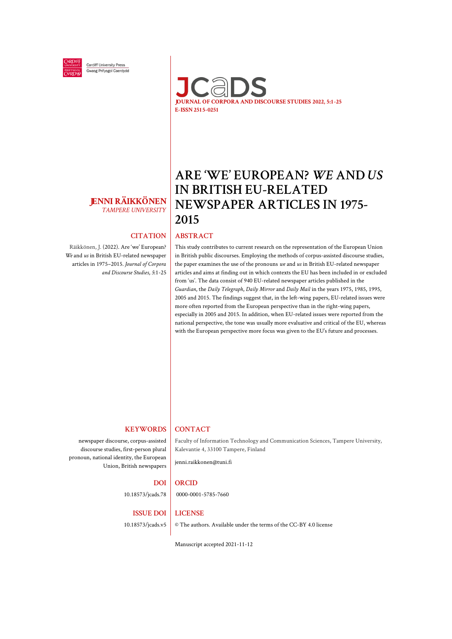

Cardiff University Press Gwasg Prifysgol Caerdydd



# **JENNI RÄIKKÖNEN**

Räikkönen, J. (2022). Are 'we' European? *We* and *us* in British EU-related newspaper articles in 1975–2015. *Journal of Corpora*

# **ARE 'WE' EUROPEAN?** *WE* **AND** *US*  **IN BRITISH EU-RELATED NEWSPAPER ARTICLES IN 1975- 2015**

#### **CITATION ABSTRACT**

This study contributes to current research on the representation of the European Union in British public discourses. Employing the methods of corpus-assisted discourse studies, the paper examines the use of the pronouns *we* and *us* in British EU-related newspaper articles and aims at finding out in which contexts the EU has been included in or excluded from 'us'. The data consist of 940 EU-related newspaper articles published in the *Guardian*, the *Daily Telegraph*, *Daily Mirror* and *Daily Mail* in the years 1975, 1985, 1995, 2005 and 2015. The findings suggest that, in the left-wing papers, EU-related issues were more often reported from the European perspective than in the right-wing papers, especially in 2005 and 2015. In addition, when EU-related issues were reported from the national perspective, the tone was usually more evaluative and critical of the EU, whereas with the European perspective more focus was given to the EU's future and processes.

# *TAMPERE UNIVERSITY*

*and Discourse Studies*, *5*:1-25

#### **KEYWORDS**

newspaper discourse, corpus-assisted discourse studies, first-person plural pronoun, national identity, the European Union, British newspapers

#### **CONTACT**

Faculty of Information Technology and Communication Sciences, Tampere University, Kalevantie 4, 33100 Tampere, Finland

[jenni.raikkonen@tuni.fi](mailto:jenni.k.raikkonen@tuni.fi)

0000-0001-5785-7660

#### **DOI ORCID**

10.18573/jcads.78

#### **ISSUE DOI LICENSE**

10.18573/jcads.v5

#### © The authors. Available under [the terms of the CC-BY 4.0 license](http://creativecommons.org/licenses/by/4.0)

Manuscript accepted 2021-11-12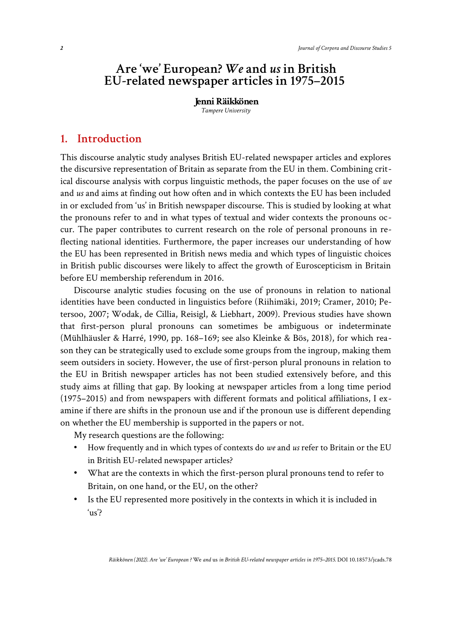## **Are 'we' European?** *We* **and** *us* **in British EU-related newspaper articles in 1975–2015**

**Jenni Räikkönen** *Tampere University*

### **1. Introduction**

This discourse analytic study analyses British EU-related newspaper articles and explores the discursive representation of Britain as separate from the EU in them. Combining critical discourse analysis with corpus linguistic methods, the paper focuses on the use of *we* and *us* and aims at finding out how often and in which contexts the EU has been included in or excluded from 'us' in British newspaper discourse. This is studied by looking at what the pronouns refer to and in what types of textual and wider contexts the pronouns occur. The paper contributes to current research on the role of personal pronouns in reflecting national identities. Furthermore, the paper increases our understanding of how the EU has been represented in British news media and which types of linguistic choices in British public discourses were likely to affect the growth of Euroscepticism in Britain before EU membership referendum in 2016.

Discourse analytic studies focusing on the use of pronouns in relation to national identities have been conducted in linguistics before (Riihimäki, 2019; Cramer, 2010; Petersoo, 2007; Wodak, de Cillia, Reisigl, & Liebhart, 2009). Previous studies have shown that first-person plural pronouns can sometimes be ambiguous or indeterminate (Mühlhäusler & Harré, 1990, pp. 168–169; see also Kleinke & Bös, 2018), for which reason they can be strategically used to exclude some groups from the ingroup, making them seem outsiders in society. However, the use of first-person plural pronouns in relation to the EU in British newspaper articles has not been studied extensively before, and this study aims at filling that gap. By looking at newspaper articles from a long time period (1975–2015) and from newspapers with different formats and political affiliations, I examine if there are shifts in the pronoun use and if the pronoun use is different depending on whether the EU membership is supported in the papers or not.

My research questions are the following:

- How frequently and in which types of contexts do *we* and *us* refer to Britain or the EU in British EU-related newspaper articles?
- What are the contexts in which the first-person plural pronouns tend to refer to Britain, on one hand, or the EU, on the other?
- Is the EU represented more positively in the contexts in which it is included in 'us'?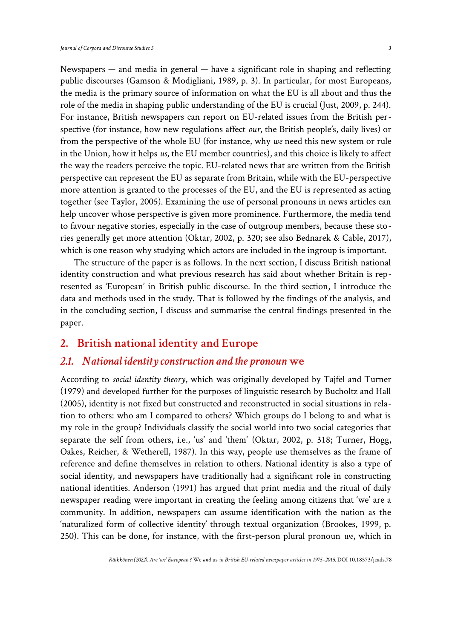Newspapers — and media in general — have a significant role in shaping and reflecting public discourses (Gamson & Modigliani, 1989, p. 3). In particular, for most Europeans, the media is the primary source of information on what the EU is all about and thus the role of the media in shaping public understanding of the EU is crucial (Just, 2009, p. 244). For instance, British newspapers can report on EU-related issues from the British perspective (for instance, how new regulations affect *our*, the British people's, daily lives) or from the perspective of the whole EU (for instance, why *we* need this new system or rule in the Union, how it helps *us*, the EU member countries), and this choice is likely to affect the way the readers perceive the topic. EU-related news that are written from the British perspective can represent the EU as separate from Britain, while with the EU-perspective more attention is granted to the processes of the EU, and the EU is represented as acting together (see Taylor, 2005). Examining the use of personal pronouns in news articles can help uncover whose perspective is given more prominence. Furthermore, the media tend to favour negative stories, especially in the case of outgroup members, because these stories generally get more attention (Oktar, 2002, p. 320; see also Bednarek & Cable, 2017), which is one reason why studying which actors are included in the ingroup is important.

The structure of the paper is as follows. In the next section, I discuss British national identity construction and what previous research has said about whether Britain is represented as 'European' in British public discourse. In the third section, I introduce the data and methods used in the study. That is followed by the findings of the analysis, and in the concluding section, I discuss and summarise the central findings presented in the paper.

#### **2. British national identity and Europe**

#### *2.1. National identity construction and the pronoun* **we**

According to *social identity theory*, which was originally developed by Tajfel and Turner (1979) and developed further for the purposes of linguistic research by Bucholtz and Hall (2005), identity is not fixed but constructed and reconstructed in social situations in relation to others: who am I compared to others? Which groups do I belong to and what is my role in the group? Individuals classify the social world into two social categories that separate the self from others, i.e., 'us' and 'them' (Oktar, 2002, p. 318; Turner, Hogg, Oakes, Reicher, & Wetherell, 1987). In this way, people use themselves as the frame of reference and define themselves in relation to others. National identity is also a type of social identity, and newspapers have traditionally had a significant role in constructing national identities. Anderson (1991) has argued that print media and the ritual of daily newspaper reading were important in creating the feeling among citizens that 'we' are a community. In addition, newspapers can assume identification with the nation as the 'naturalized form of collective identity' through textual organization (Brookes, 1999, p. 250). This can be done, for instance, with the first-person plural pronoun *we*, which in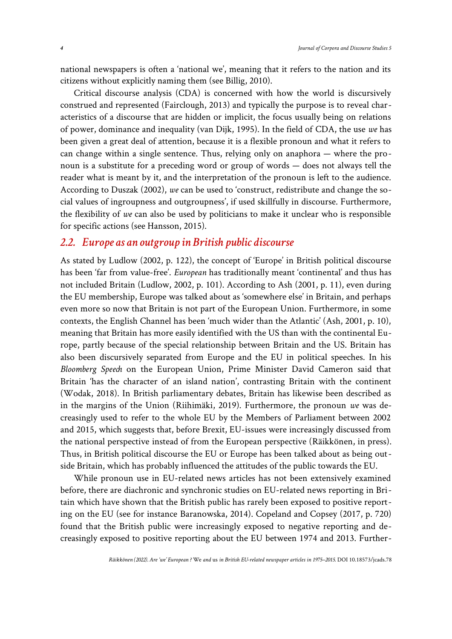national newspapers is often a 'national we', meaning that it refers to the nation and its citizens without explicitly naming them (see Billig, 2010).

Critical discourse analysis (CDA) is concerned with how the world is discursively construed and represented (Fairclough, 2013) and typically the purpose is to reveal characteristics of a discourse that are hidden or implicit, the focus usually being on relations of power, dominance and inequality (van Dijk, 1995). In the field of CDA, the use *we* has been given a great deal of attention, because it is a flexible pronoun and what it refers to can change within a single sentence. Thus, relying only on anaphora — where the pronoun is a substitute for a preceding word or group of words — does not always tell the reader what is meant by it, and the interpretation of the pronoun is left to the audience. According to Duszak (2002), *we* can be used to 'construct, redistribute and change the social values of ingroupness and outgroupness', if used skillfully in discourse. Furthermore, the flexibility of *we* can also be used by politicians to make it unclear who is responsible for specific actions (see Hansson, 2015).

#### *2.2. Europe as an outgroup in British public discourse*

As stated by Ludlow (2002, p. 122), the concept of 'Europe' in British political discourse has been 'far from value-free'. *European* has traditionally meant 'continental' and thus has not included Britain (Ludlow, 2002, p. 101). According to Ash (2001, p. 11), even during the EU membership, Europe was talked about as 'somewhere else' in Britain, and perhaps even more so now that Britain is not part of the European Union. Furthermore, in some contexts, the English Channel has been 'much wider than the Atlantic' (Ash, 2001, p. 10), meaning that Britain has more easily identified with the US than with the continental Europe, partly because of the special relationship between Britain and the US. Britain has also been discursively separated from Europe and the EU in political speeches. In his *Bloomberg Speech* on the European Union, Prime Minister David Cameron said that Britain 'has the character of an island nation', contrasting Britain with the continent (Wodak, 2018). In British parliamentary debates, Britain has likewise been described as in the margins of the Union (Riihimäki, 2019). Furthermore, the pronoun *we* was decreasingly used to refer to the whole EU by the Members of Parliament between 2002 and 2015, which suggests that, before Brexit, EU-issues were increasingly discussed from the national perspective instead of from the European perspective (Räikkönen, in press). Thus, in British political discourse the EU or Europe has been talked about as being outside Britain, which has probably influenced the attitudes of the public towards the EU.

While pronoun use in EU-related news articles has not been extensively examined before, there are diachronic and synchronic studies on EU-related news reporting in Britain which have shown that the British public has rarely been exposed to positive reporting on the EU (see for instance Baranowska, 2014). Copeland and Copsey (2017, p. 720) found that the British public were increasingly exposed to negative reporting and decreasingly exposed to positive reporting about the EU between 1974 and 2013. Further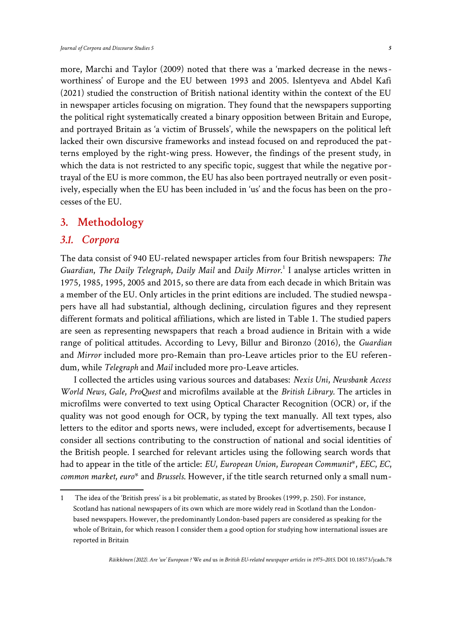more, Marchi and Taylor (2009) noted that there was a 'marked decrease in the newsworthiness' of Europe and the EU between 1993 and 2005. Islentyeva and Abdel Kafi (2021) studied the construction of British national identity within the context of the EU in newspaper articles focusing on migration. They found that the newspapers supporting the political right systematically created a binary opposition between Britain and Europe, and portrayed Britain as 'a victim of Brussels', while the newspapers on the political left lacked their own discursive frameworks and instead focused on and reproduced the patterns employed by the right-wing press. However, the findings of the present study, in which the data is not restricted to any specific topic, suggest that while the negative portrayal of the EU is more common, the EU has also been portrayed neutrally or even positively, especially when the EU has been included in 'us' and the focus has been on the processes of the EU.

#### **3. Methodology**

#### *3.1. Corpora*

The data consist of 940 EU-related newspaper articles from four British newspapers: *The* Guardian, The Daily Telegraph, Daily Mail and Daily Mirror.<sup>[1](#page-4-0)</sup> I analyse articles written in 1975, 1985, 1995, 2005 and 2015, so there are data from each decade in which Britain was a member of the EU. Only articles in the print editions are included. The studied newspapers have all had substantial, although declining, circulation figures and they represent different formats and political affiliations, which are listed in Table 1. The studied papers are seen as representing newspapers that reach a broad audience in Britain with a wide range of political attitudes. According to Levy, Billur and Bironzo (2016), the *Guardian* and *Mirror* included more pro-Remain than pro-Leave articles prior to the EU referendum, while *Telegraph* and *Mail* included more pro-Leave articles.

I collected the articles using various sources and databases: *Nexis Uni*, *Newsbank Access World News*, *Gale*, *ProQuest* and microfilms available at the *British Library.* The articles in microfilms were converted to text using Optical Character Recognition (OCR) or, if the quality was not good enough for OCR, by typing the text manually. All text types, also letters to the editor and sports news, were included, except for advertisements, because I consider all sections contributing to the construction of national and social identities of the British people. I searched for relevant articles using the following search words that had to appear in the title of the article: *EU*, *European Union*, *European Communit*\*, *EEC*, *EC*, *common market*, *euro*\* and *Brussels*. However, if the title search returned only a small num-

<span id="page-4-0"></span><sup>1</sup> The idea of the 'British press' is a bit problematic, as stated by Brookes (1999, p. 250). For instance, Scotland has national newspapers of its own which are more widely read in Scotland than the Londonbased newspapers. However, the predominantly London-based papers are considered as speaking for the whole of Britain, for which reason I consider them a good option for studying how international issues are reported in Britain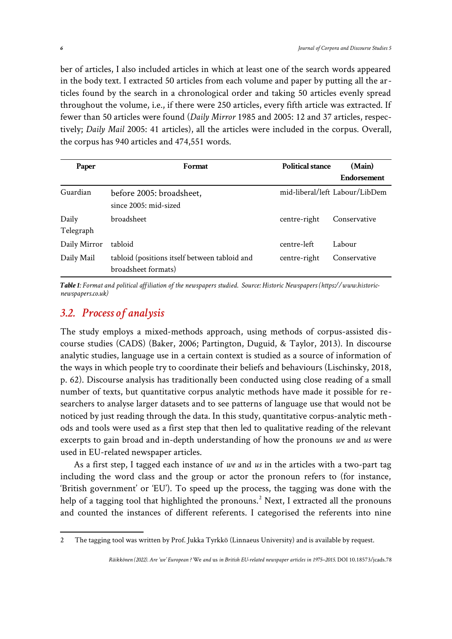ber of articles, I also included articles in which at least one of the search words appeared in the body text. I extracted 50 articles from each volume and paper by putting all the articles found by the search in a chronological order and taking 50 articles evenly spread throughout the volume, i.e., if there were 250 articles, every fifth article was extracted. If fewer than 50 articles were found (*Daily Mirror* 1985 and 2005: 12 and 37 articles, respectively; *Daily Mail* 2005: 41 articles), all the articles were included in the corpus. Overall, the corpus has 940 articles and 474,551 words.

| Paper              | Format                                                               | Political stance | (Main)                         |  |
|--------------------|----------------------------------------------------------------------|------------------|--------------------------------|--|
|                    |                                                                      |                  | <b>Endorsement</b>             |  |
| Guardian           | before 2005: broadsheet,<br>since 2005: mid-sized                    |                  | mid-liberal/left Labour/LibDem |  |
| Daily<br>Telegraph | broadsheet                                                           | centre-right     | Conservative                   |  |
| Daily Mirror       | tabloid                                                              | centre-left      | Labour                         |  |
| Daily Mail         | tabloid (positions itself between tabloid and<br>broadsheet formats) | centre-right     | Conservative                   |  |

*Table 1: Format and political affiliation of the newspapers studied. Source: Historic Newspapers (https://www.historicnewspapers.co.uk)*

### *3.2. Process of analysis*

The study employs a mixed-methods approach, using methods of corpus-assisted discourse studies (CADS) (Baker, 2006; Partington, Duguid, & Taylor, 2013). In discourse analytic studies, language use in a certain context is studied as a source of information of the ways in which people try to coordinate their beliefs and behaviours (Lischinsky, 2018, p. 62). Discourse analysis has traditionally been conducted using close reading of a small number of texts, but quantitative corpus analytic methods have made it possible for researchers to analyse larger datasets and to see patterns of language use that would not be noticed by just reading through the data. In this study, quantitative corpus-analytic methods and tools were used as a first step that then led to qualitative reading of the relevant excerpts to gain broad and in-depth understanding of how the pronouns *we* and *us* were used in EU-related newspaper articles.

As a first step, I tagged each instance of *we* and *us* in the articles with a two-part tag including the word class and the group or actor the pronoun refers to (for instance, 'British government' or 'EU'). To speed up the process, the tagging was done with the help of a tagging tool that highlighted the pronouns. $^2$  $^2$  Next, I extracted all the pronouns and counted the instances of different referents. I categorised the referents into nine

<span id="page-5-0"></span><sup>2</sup> The tagging tool was written by Prof. Jukka Tyrkkö (Linnaeus University) and is available by request.

*Räikkönen (2022). Are 'we' European ?* We *and* us *in British EU-related newspaper articles in 1975–2015.* DOI 10.18573/jcads.78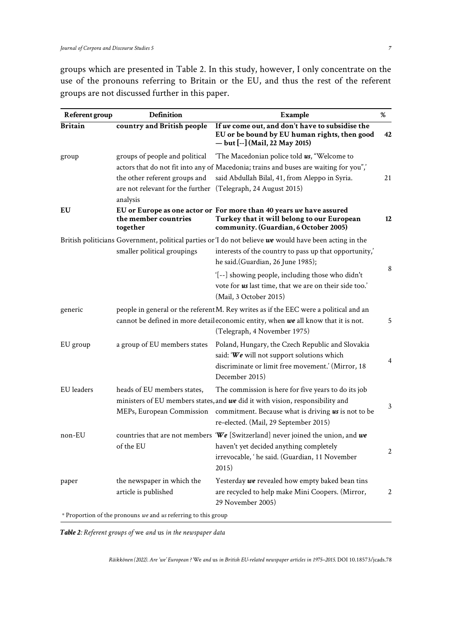groups which are presented in Table 2. In this study, however, I only concentrate on the use of the pronouns referring to Britain or the EU, and thus the rest of the referent groups are not discussed further in this paper.

| Referent group | <b>Definition</b>                                                                                         | Example                                                                                                                                                                                                                                                        | %              |
|----------------|-----------------------------------------------------------------------------------------------------------|----------------------------------------------------------------------------------------------------------------------------------------------------------------------------------------------------------------------------------------------------------------|----------------|
| <b>Britain</b> | country and British people                                                                                | If we come out, and don't have to subsidise the<br>EU or be bound by EU human rights, then good<br>— but [--] (Mail, 22 May 2015)                                                                                                                              | 42             |
| group          | the other referent groups and<br>are not relevant for the further (Telegraph, 24 August 2015)<br>analysis | groups of people and political $\quad$ The Macedonian police told $\mathbf{u}s$ , "Welcome to<br>actors that do not fit into any of Macedonia; trains and buses are waiting for you",<br>said Abdullah Bilal, 41, from Aleppo in Syria.                        | 21             |
| EU             | the member countries<br>together                                                                          | EU or Europe as one actor or For more than 40 years we have assured<br>Turkey that it will belong to our European<br>community. (Guardian, 6 October 2005)                                                                                                     | 12             |
|                | smaller political groupings                                                                               | British politicians Government, political parties or 'I do not believe $we$ would have been acting in the<br>interests of the country to pass up that opportunity,'<br>he said.(Guardian, 26 June 1985);                                                       | 8              |
|                |                                                                                                           | '[--] showing people, including those who didn't<br>vote for us last time, that we are on their side too.'<br>(Mail, 3 October 2015)                                                                                                                           |                |
| generic        |                                                                                                           | people in general or the referent M. Rey writes as if the EEC were a political and an<br>cannot be defined in more detail economic entity, when $we$ all know that it is not.<br>(Telegraph, 4 November 1975)                                                  | 5              |
| EU group       | a group of EU members states                                                                              | Poland, Hungary, the Czech Republic and Slovakia<br>said: 'We will not support solutions which<br>discriminate or limit free movement.' (Mirror, 18<br>December 2015)                                                                                          | $\overline{4}$ |
| EU leaders     | heads of EU members states,                                                                               | The commission is here for five years to do its job<br>ministers of EU members states, and we did it with vision, responsibility and<br>MEPs, European Commission commitment. Because what is driving us is not to be<br>re-elected. (Mail, 29 September 2015) | 3              |
| non-EU         | of the EU                                                                                                 | countries that are not members 'We [Switzerland] never joined the union, and we<br>haven't yet decided anything completely<br>irrevocable, 'he said. (Guardian, 11 November<br>2015)                                                                           | 2              |
| paper          | the newspaper in which the<br>article is published                                                        | Yesterday we revealed how empty baked bean tins<br>are recycled to help make Mini Coopers. (Mirror,<br>29 November 2005)                                                                                                                                       | 2              |
|                | * Proportion of the pronouns we and us referring to this group                                            |                                                                                                                                                                                                                                                                |                |

*Table 2: Referent groups of* we *and* us *in the newspaper data*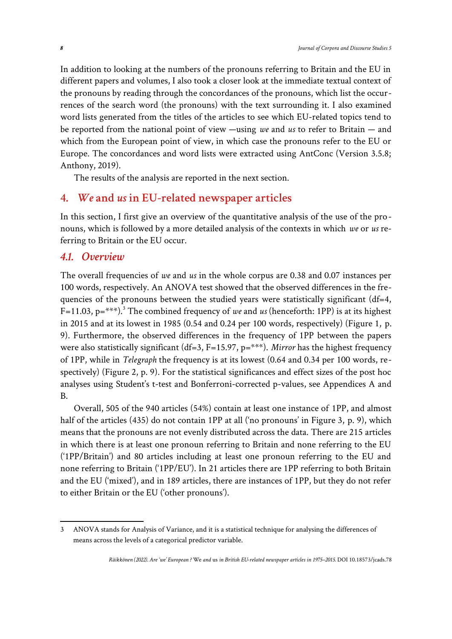In addition to looking at the numbers of the pronouns referring to Britain and the EU in different papers and volumes, I also took a closer look at the immediate textual context of the pronouns by reading through the concordances of the pronouns, which list the occurrences of the search word (the pronouns) with the text surrounding it. I also examined word lists generated from the titles of the articles to see which EU-related topics tend to be reported from the national point of view —using *we* and *us* to refer to Britain — and which from the European point of view, in which case the pronouns refer to the EU or Europe. The concordances and word lists were extracted using AntConc (Version 3.5.8; Anthony, 2019).

The results of the analysis are reported in the next section.

#### **4.** *We* **and** *us* **in EU-related newspaper articles**

In this section, I first give an overview of the quantitative analysis of the use of the pronouns, which is followed by a more detailed analysis of the contexts in which *we* or *us* referring to Britain or the EU occur.

#### *4.1. Overview*

The overall frequencies of *we* and *us* in the whole corpus are 0.38 and 0.07 instances per 100 words, respectively. An ANOVA test showed that the observed differences in the frequencies of the pronouns between the studied years were statistically significant (df=4,  $F=11.03$  $F=11.03$ ,  $p=***$ ).<sup>3</sup> The combined frequency of *we* and *us* (henceforth: 1PP) is at its highest in 2015 and at its lowest in 1985 (0.54 and 0.24 per 100 words, respectively) (Figure 1, p. 9). Furthermore, the observed differences in the frequency of 1PP between the papers were also statistically significant (df=3, F=15.97, p=\*\*\*). *Mirror* has the highest frequency of 1PP, while in *Telegraph* the frequency is at its lowest (0.64 and 0.34 per 100 words, respectively) (Figure 2, p. 9). For the statistical significances and effect sizes of the post hoc analyses using Student's t-test and Bonferroni-corrected p-values, see Appendices A and B.

Overall, 505 of the 940 articles (54%) contain at least one instance of 1PP, and almost half of the articles (435) do not contain 1PP at all ('no pronouns' in Figure 3, p. 9), which means that the pronouns are not evenly distributed across the data. There are 215 articles in which there is at least one pronoun referring to Britain and none referring to the EU ('1PP/Britain') and 80 articles including at least one pronoun referring to the EU and none referring to Britain ('1PP/EU'). In 21 articles there are 1PP referring to both Britain and the EU ('mixed'), and in 189 articles, there are instances of 1PP, but they do not refer to either Britain or the EU ('other pronouns').

<span id="page-7-0"></span><sup>3</sup> ANOVA stands for Analysis of Variance, and it is a statistical technique for analysing the differences of means across the levels of a categorical predictor variable.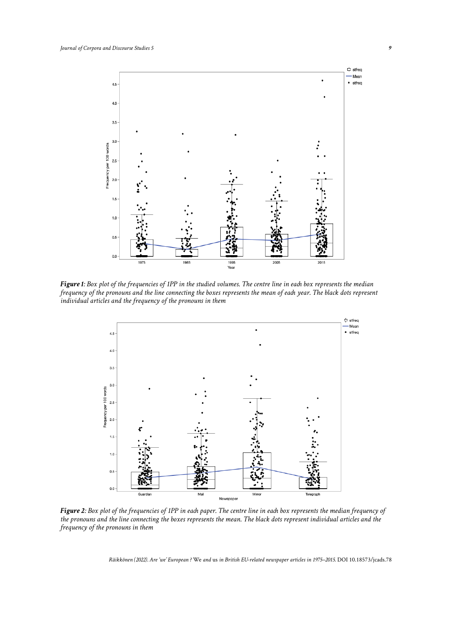

*Figure 1: Box plot of the frequencies of 1PP in the studied volumes. The centre line in each box represents the median frequency of the pronouns and the line connecting the boxes represents the mean of each year. The black dots represent individual articles and the frequency of the pronouns in them*



*Figure 2: Box plot of the frequencies of 1PP in each paper. The centre line in each box represents the median frequency of the pronouns and the line connecting the boxes represents the mean. The black dots represent individual articles and the frequency of the pronouns in them*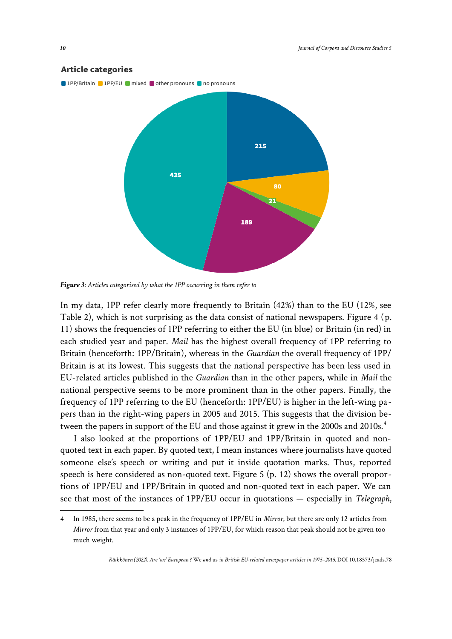

*Figure 3: Articles categorised by what the 1PP occurring in them refer to*

In my data, 1PP refer clearly more frequently to Britain (42%) than to the EU (12%, see Table 2), which is not surprising as the data consist of national newspapers. Figure 4 (p. 11) shows the frequencies of 1PP referring to either the EU (in blue) or Britain (in red) in each studied year and paper. *Mail* has the highest overall frequency of 1PP referring to Britain (henceforth: 1PP/Britain), whereas in the *Guardian* the overall frequency of 1PP/ Britain is at its lowest. This suggests that the national perspective has been less used in EU-related articles published in the *Guardian* than in the other papers, while in *Mail* the national perspective seems to be more prominent than in the other papers. Finally, the frequency of 1PP referring to the EU (henceforth: 1PP/EU) is higher in the left-wing papers than in the right-wing papers in 2005 and 2015. This suggests that the division be-tween the papers in support of the EU and those against it grew in the 2000s and 2010s.<sup>[4](#page-9-0)</sup>

I also looked at the proportions of 1PP/EU and 1PP/Britain in quoted and nonquoted text in each paper. By quoted text, I mean instances where journalists have quoted someone else's speech or writing and put it inside quotation marks. Thus, reported speech is here considered as non-quoted text. Figure 5 (p. 12) shows the overall proportions of 1PP/EU and 1PP/Britain in quoted and non-quoted text in each paper. We can see that most of the instances of 1PP/EU occur in quotations — especially in *Telegraph*,

<span id="page-9-0"></span><sup>4</sup> In 1985, there seems to be a peak in the frequency of 1PP/EU in *Mirror*, but there are only 12 articles from *Mirror* from that year and only 3 instances of 1PP/EU, for which reason that peak should not be given too much weight.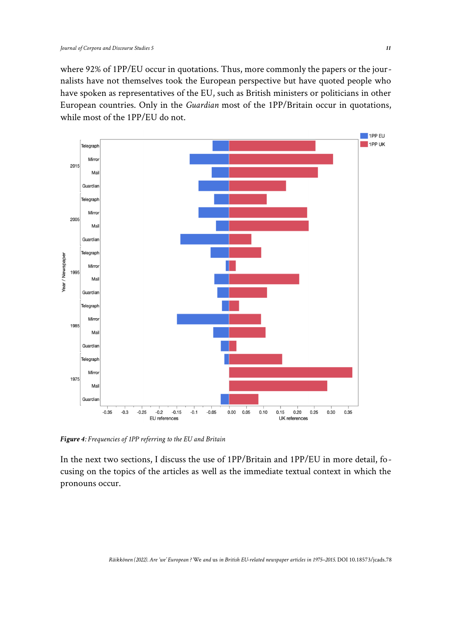where 92% of 1PP/EU occur in quotations. Thus, more commonly the papers or the journalists have not themselves took the European perspective but have quoted people who have spoken as representatives of the EU, such as British ministers or politicians in other European countries. Only in the *Guardian* most of the 1PP/Britain occur in quotations, while most of the 1PP/EU do not.



*Figure 4: Frequencies of 1PP referring to the EU and Britain*

In the next two sections, I discuss the use of 1PP/Britain and 1PP/EU in more detail, focusing on the topics of the articles as well as the immediate textual context in which the pronouns occur.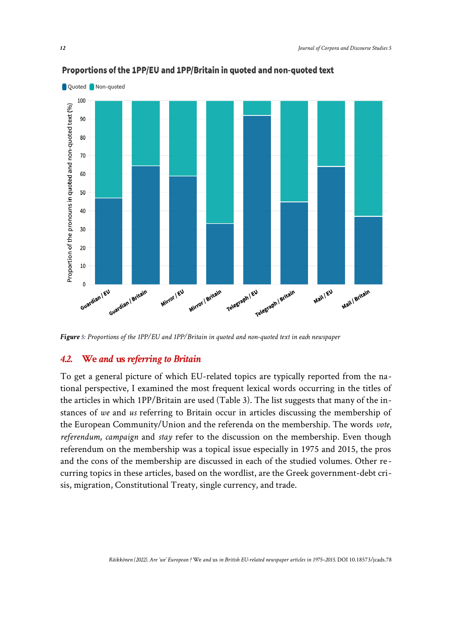

#### Proportions of the 1PP/EU and 1PP/Britain in quoted and non-quoted text

*Figure 5: Proportions of the 1PP/EU and 1PP/Britain in quoted and non-quoted text in each newspaper*

#### *4.2.* **We** *and* **us** *referring to Britain*

To get a general picture of which EU-related topics are typically reported from the national perspective, I examined the most frequent lexical words occurring in the titles of the articles in which 1PP/Britain are used (Table 3). The list suggests that many of the instances of *we* and *us* referring to Britain occur in articles discussing the membership of the European Community/Union and the referenda on the membership. The words *vote*, *referendum*, *campaign* and *stay* refer to the discussion on the membership. Even though referendum on the membership was a topical issue especially in 1975 and 2015, the pros and the cons of the membership are discussed in each of the studied volumes. Other recurring topics in these articles, based on the wordlist, are the Greek government-debt crisis, migration, Constitutional Treaty, single currency, and trade.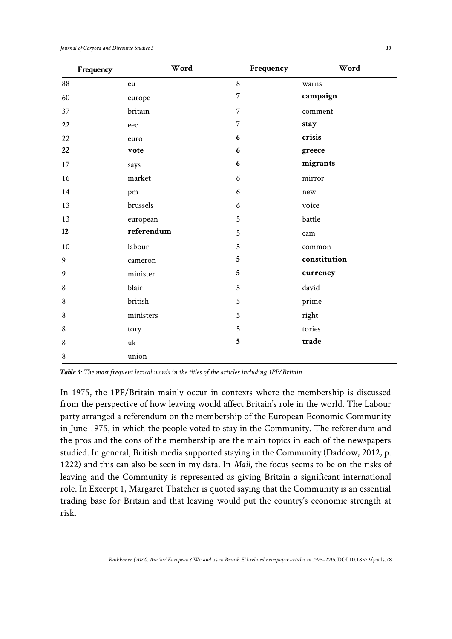| Frequency | Word       | Frequency      | Word         |
|-----------|------------|----------------|--------------|
| 88        | eu         | 8              | warns        |
| 60        | europe     | $\overline{7}$ | campaign     |
| 37        | britain    | $\overline{7}$ | comment      |
| $22\,$    | eec        | $\overline{7}$ | stay         |
| 22        | euro       | 6              | crisis       |
| 22        | vote       | 6              | greece       |
| 17        | says       | 6              | migrants     |
| 16        | market     | 6              | mirror       |
| 14        | pm         | 6              | new          |
| 13        | brussels   | 6              | voice        |
| 13        | european   | 5              | battle       |
| 12        | referendum | 5              | cam          |
| 10        | labour     | 5              | common       |
| 9         | cameron    | 5              | constitution |
| 9         | minister   | $\mathbf{5}$   | currency     |
| 8         | blair      | 5              | david        |
| 8         | british    | 5              | prime        |
| $\,8\,$   | ministers  | 5              | right        |
| $\,8\,$   | tory       | 5              | tories       |
| 8         | uk         | $\mathbf{5}$   | trade        |
| 8         | union      |                |              |

*Table 3: The most frequent lexical words in the titles of the articles including 1PP/Britain*

In 1975, the 1PP/Britain mainly occur in contexts where the membership is discussed from the perspective of how leaving would affect Britain's role in the world. The Labour party arranged a referendum on the membership of the European Economic Community in June 1975, in which the people voted to stay in the Community. The referendum and the pros and the cons of the membership are the main topics in each of the newspapers studied. In general, British media supported staying in the Community (Daddow, 2012, p. 1222) and this can also be seen in my data. In *Mail*, the focus seems to be on the risks of leaving and the Community is represented as giving Britain a significant international role. In Excerpt 1, Margaret Thatcher is quoted saying that the Community is an essential trading base for Britain and that leaving would put the country's economic strength at risk.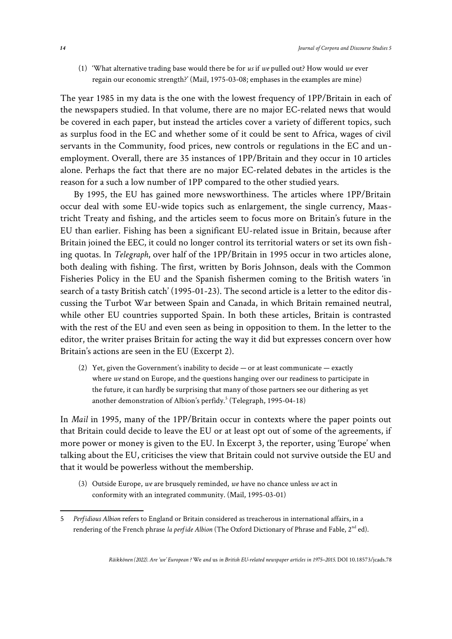(1) 'What alternative trading base would there be for *us* if *we* pulled out? How would *we* ever regain our economic strength?' (Mail, 1975-03-08; emphases in the examples are mine)

The year 1985 in my data is the one with the lowest frequency of 1PP/Britain in each of the newspapers studied. In that volume, there are no major EC-related news that would be covered in each paper, but instead the articles cover a variety of different topics, such as surplus food in the EC and whether some of it could be sent to Africa, wages of civil servants in the Community, food prices, new controls or regulations in the EC and unemployment. Overall, there are 35 instances of 1PP/Britain and they occur in 10 articles alone. Perhaps the fact that there are no major EC-related debates in the articles is the reason for a such a low number of 1PP compared to the other studied years.

By 1995, the EU has gained more newsworthiness. The articles where 1PP/Britain occur deal with some EU-wide topics such as enlargement, the single currency, Maastricht Treaty and fishing, and the articles seem to focus more on Britain's future in the EU than earlier. Fishing has been a significant EU-related issue in Britain, because after Britain joined the EEC, it could no longer control its territorial waters or set its own fishing quotas. In *Telegraph*, over half of the 1PP/Britain in 1995 occur in two articles alone, both dealing with fishing. The first, written by Boris Johnson, deals with the Common Fisheries Policy in the EU and the Spanish fishermen coming to the British waters 'in search of a tasty British catch' (1995-01-23). The second article is a letter to the editor discussing the Turbot War between Spain and Canada, in which Britain remained neutral, while other EU countries supported Spain. In both these articles, Britain is contrasted with the rest of the EU and even seen as being in opposition to them. In the letter to the editor, the writer praises Britain for acting the way it did but expresses concern over how Britain's actions are seen in the EU (Excerpt 2).

(2) Yet, given the Government's inability to decide — or at least communicate — exactly where *we* stand on Europe, and the questions hanging over our readiness to participate in the future, it can hardly be surprising that many of those partners see our dithering as yet another demonstration of Albion's perfidy.<sup>[5](#page-13-0)</sup> (Telegraph, 1995-04-18)

In *Mail* in 1995, many of the 1PP/Britain occur in contexts where the paper points out that Britain could decide to leave the EU or at least opt out of some of the agreements, if more power or money is given to the EU. In Excerpt 3, the reporter, using 'Europe' when talking about the EU, criticises the view that Britain could not survive outside the EU and that it would be powerless without the membership.

(3) Outside Europe, *we* are brusquely reminded, *we* have no chance unless *we* act in conformity with an integrated community. (Mail, 1995-03-01)

<span id="page-13-0"></span><sup>5</sup> *Perfidious Albion* refers to England or Britain considered as treacherous in international affairs, in a rendering of the French phrase *la perfide Albion* (The Oxford Dictionary of Phrase and Fable, 2<sup>nd</sup> ed).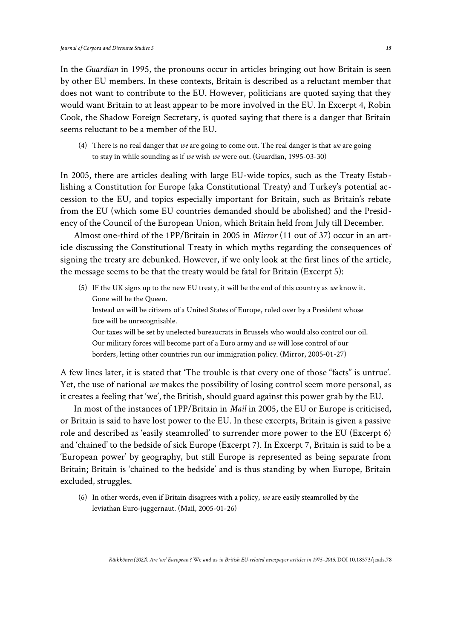In the *Guardian* in 1995, the pronouns occur in articles bringing out how Britain is seen by other EU members. In these contexts, Britain is described as a reluctant member that does not want to contribute to the EU. However, politicians are quoted saying that they would want Britain to at least appear to be more involved in the EU. In Excerpt 4, Robin Cook, the Shadow Foreign Secretary, is quoted saying that there is a danger that Britain seems reluctant to be a member of the EU.

(4) There is no real danger that *we* are going to come out. The real danger is that *we* are going to stay in while sounding as if *we* wish *we* were out. (Guardian, 1995-03-30)

In 2005, there are articles dealing with large EU-wide topics, such as the Treaty Establishing a Constitution for Europe (aka Constitutional Treaty) and Turkey's potential accession to the EU, and topics especially important for Britain, such as Britain's rebate from the EU (which some EU countries demanded should be abolished) and the Presidency of the Council of the European Union, which Britain held from July till December.

Almost one-third of the 1PP/Britain in 2005 in *Mirror* (11 out of 37) occur in an article discussing the Constitutional Treaty in which myths regarding the consequences of signing the treaty are debunked. However, if we only look at the first lines of the article, the message seems to be that the treaty would be fatal for Britain (Excerpt 5):

(5) IF the UK signs up to the new EU treaty, it will be the end of this country as *we* know it. Gone will be the Queen. Instead *we* will be citizens of a United States of Europe, ruled over by a President whose face will be unrecognisable.

Our taxes will be set by unelected bureaucrats in Brussels who would also control our oil. Our military forces will become part of a Euro army and *we* will lose control of our borders, letting other countries run our immigration policy. (Mirror, 2005-01-27)

A few lines later, it is stated that 'The trouble is that every one of those "facts" is untrue'. Yet, the use of national *we* makes the possibility of losing control seem more personal, as it creates a feeling that 'we', the British, should guard against this power grab by the EU.

In most of the instances of 1PP/Britain in *Mail* in 2005, the EU or Europe is criticised, or Britain is said to have lost power to the EU. In these excerpts, Britain is given a passive role and described as 'easily steamrolled' to surrender more power to the EU (Excerpt 6) and 'chained' to the bedside of sick Europe (Excerpt 7). In Excerpt 7, Britain is said to be a 'European power' by geography, but still Europe is represented as being separate from Britain; Britain is 'chained to the bedside' and is thus standing by when Europe, Britain excluded, struggles.

(6) In other words, even if Britain disagrees with a policy, *we* are easily steamrolled by the leviathan Euro-juggernaut. (Mail, 2005-01-26)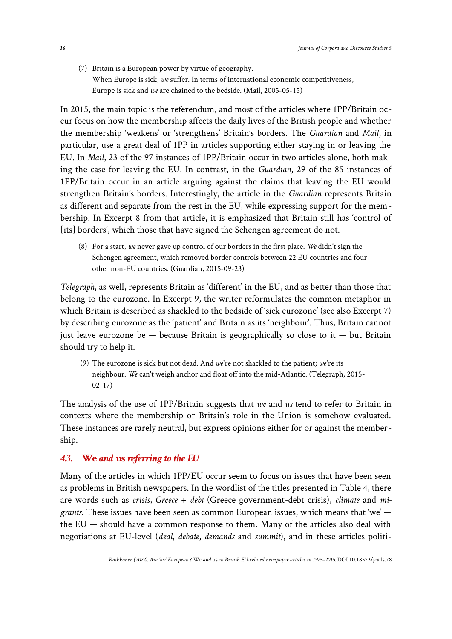(7) Britain is a European power by virtue of geography. When Europe is sick, *we* suffer. In terms of international economic competitiveness, Europe is sick and *we* are chained to the bedside. (Mail, 2005-05-15)

In 2015, the main topic is the referendum, and most of the articles where 1PP/Britain occur focus on how the membership affects the daily lives of the British people and whether the membership 'weakens' or 'strengthens' Britain's borders. The *Guardian* and *Mail*, in particular, use a great deal of 1PP in articles supporting either staying in or leaving the EU. In *Mail*, 23 of the 97 instances of 1PP/Britain occur in two articles alone, both making the case for leaving the EU. In contrast, in the *Guardian*, 29 of the 85 instances of 1PP/Britain occur in an article arguing against the claims that leaving the EU would strengthen Britain's borders. Interestingly, the article in the *Guardian* represents Britain as different and separate from the rest in the EU, while expressing support for the membership. In Excerpt 8 from that article, it is emphasized that Britain still has 'control of [its] borders', which those that have signed the Schengen agreement do not.

(8) For a start, *we* never gave up control of our borders in the first place. *We* didn't sign the Schengen agreement, which removed border controls between 22 EU countries and four other non-EU countries. (Guardian, 2015-09-23)

*Telegraph*, as well, represents Britain as 'different' in the EU, and as better than those that belong to the eurozone. In Excerpt 9, the writer reformulates the common metaphor in which Britain is described as shackled to the bedside of 'sick eurozone' (see also Excerpt 7) by describing eurozone as the 'patient' and Britain as its 'neighbour'. Thus, Britain cannot just leave eurozone be  $-$  because Britain is geographically so close to it  $-$  but Britain should try to help it.

 (9) The eurozone is sick but not dead. And *we*'re not shackled to the patient; *we*'re its neighbour. *We* can't weigh anchor and float off into the mid-Atlantic. (Telegraph, 2015- 02-17)

The analysis of the use of 1PP/Britain suggests that *we* and *us* tend to refer to Britain in contexts where the membership or Britain's role in the Union is somehow evaluated. These instances are rarely neutral, but express opinions either for or against the membership.

#### *4.3.* **We** *and* **us** *referring to the EU*

Many of the articles in which 1PP/EU occur seem to focus on issues that have been seen as problems in British newspapers. In the wordlist of the titles presented in Table 4, there are words such as *crisis*, *Greece* + *debt* (Greece government-debt crisis), *climate* and *migrants*. These issues have been seen as common European issues, which means that 'we' the EU — should have a common response to them. Many of the articles also deal with negotiations at EU-level (*deal*, *debate*, *demands* and *summit*), and in these articles politi-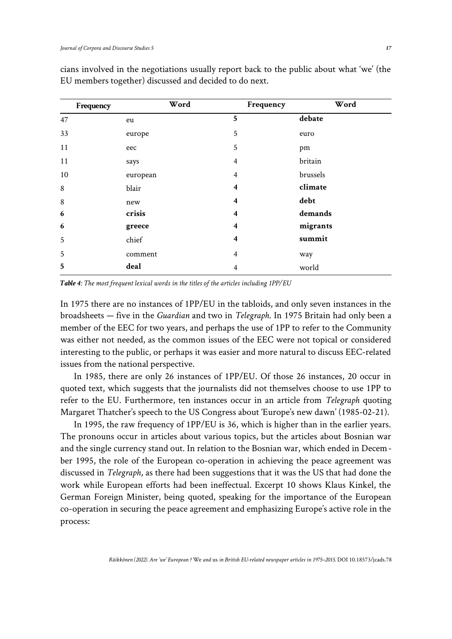| Frequency | Word     | Frequency               | Word     |
|-----------|----------|-------------------------|----------|
| 47        | eu       | 5                       | debate   |
| 33        | europe   | 5                       | euro     |
| 11        | eec      | 5                       | pm       |
| 11        | says     | 4                       | britain  |
| 10        | european | 4                       | brussels |
| $\,8\,$   | blair    | 4                       | climate  |
| $\,8\,$   | new      | 4                       | debt     |
| 6         | crisis   | $\boldsymbol{4}$        | demands  |
| 6         | greece   | $\overline{\mathbf{4}}$ | migrants |
| 5         | chief    | $\overline{\mathbf{4}}$ | summit   |
| 5         | comment  | 4                       | way      |
| 5         | deal     | 4                       | world    |

cians involved in the negotiations usually report back to the public about what 'we' (the EU members together) discussed and decided to do next.

*Table 4: The most frequent lexical words in the titles of the articles including 1PP/EU*

In 1975 there are no instances of 1PP/EU in the tabloids, and only seven instances in the broadsheets — five in the *Guardian* and two in *Telegraph*. In 1975 Britain had only been a member of the EEC for two years, and perhaps the use of 1PP to refer to the Community was either not needed, as the common issues of the EEC were not topical or considered interesting to the public, or perhaps it was easier and more natural to discuss EEC-related issues from the national perspective.

In 1985, there are only 26 instances of 1PP/EU. Of those 26 instances, 20 occur in quoted text, which suggests that the journalists did not themselves choose to use 1PP to refer to the EU. Furthermore, ten instances occur in an article from *Telegraph* quoting Margaret Thatcher's speech to the US Congress about 'Europe's new dawn' (1985-02-21).

In 1995, the raw frequency of 1PP/EU is 36, which is higher than in the earlier years. The pronouns occur in articles about various topics, but the articles about Bosnian war and the single currency stand out. In relation to the Bosnian war, which ended in December 1995, the role of the European co-operation in achieving the peace agreement was discussed in *Telegraph*, as there had been suggestions that it was the US that had done the work while European efforts had been ineffectual. Excerpt 10 shows Klaus Kinkel, the German Foreign Minister, being quoted, speaking for the importance of the European co-operation in securing the peace agreement and emphasizing Europe's active role in the process: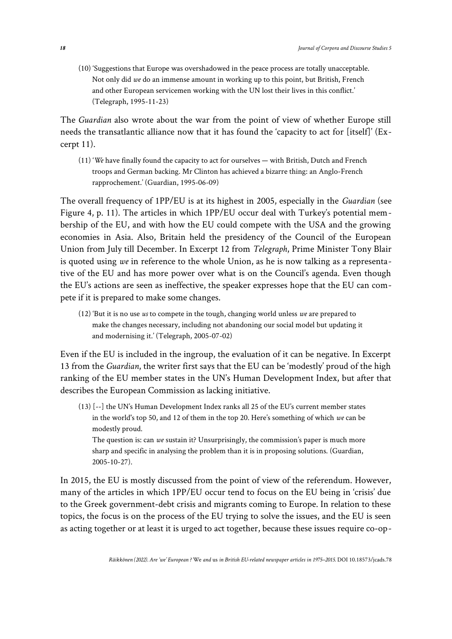(10) 'Suggestions that Europe was overshadowed in the peace process are totally unacceptable. Not only did *we* do an immense amount in working up to this point, but British, French and other European servicemen working with the UN lost their lives in this conflict.' (Telegraph, 1995-11-23)

The *Guardian* also wrote about the war from the point of view of whether Europe still needs the transatlantic alliance now that it has found the 'capacity to act for [itself]' (Excerpt 11).

(11) '*We* have finally found the capacity to act for ourselves — with British, Dutch and French troops and German backing. Mr Clinton has achieved a bizarre thing: an Anglo-French rapprochement.' (Guardian, 1995-06-09)

The overall frequency of 1PP/EU is at its highest in 2005, especially in the *Guardian* (see Figure 4, p. 11). The articles in which 1PP/EU occur deal with Turkey's potential membership of the EU, and with how the EU could compete with the USA and the growing economies in Asia. Also, Britain held the presidency of the Council of the European Union from July till December. In Excerpt 12 from *Telegraph*, Prime Minister Tony Blair is quoted using *we* in reference to the whole Union, as he is now talking as a representative of the EU and has more power over what is on the Council's agenda. Even though the EU's actions are seen as ineffective, the speaker expresses hope that the EU can compete if it is prepared to make some changes.

(12) 'But it is no use *us* to compete in the tough, changing world unless *we* are prepared to make the changes necessary, including not abandoning our social model but updating it and modernising it.' (Telegraph, 2005-07-02)

Even if the EU is included in the ingroup, the evaluation of it can be negative. In Excerpt 13 from the *Guardian*, the writer first says that the EU can be 'modestly' proud of the high ranking of the EU member states in the UN's Human Development Index, but after that describes the European Commission as lacking initiative.

(13) [--] the UN's Human Development Index ranks all 25 of the EU's current member states in the world's top 50, and 12 of them in the top 20. Here's something of which *we* can be modestly proud.

The question is: can *we* sustain it? Unsurprisingly, the commission's paper is much more sharp and specific in analysing the problem than it is in proposing solutions. (Guardian, 2005-10-27).

In 2015, the EU is mostly discussed from the point of view of the referendum. However, many of the articles in which 1PP/EU occur tend to focus on the EU being in 'crisis' due to the Greek government-debt crisis and migrants coming to Europe. In relation to these topics, the focus is on the process of the EU trying to solve the issues, and the EU is seen as acting together or at least it is urged to act together, because these issues require co-op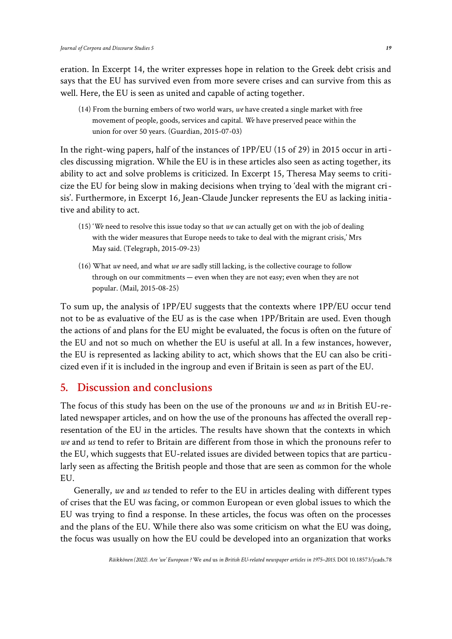eration. In Excerpt 14, the writer expresses hope in relation to the Greek debt crisis and says that the EU has survived even from more severe crises and can survive from this as well. Here, the EU is seen as united and capable of acting together.

(14) From the burning embers of two world wars, *we* have created a single market with free movement of people, goods, services and capital. *We* have preserved peace within the union for over 50 years. (Guardian, 2015-07-03)

In the right-wing papers, half of the instances of 1PP/EU (15 of 29) in 2015 occur in articles discussing migration. While the EU is in these articles also seen as acting together, its ability to act and solve problems is criticized. In Excerpt 15, Theresa May seems to criticize the EU for being slow in making decisions when trying to 'deal with the migrant crisis'. Furthermore, in Excerpt 16, Jean-Claude Juncker represents the EU as lacking initiative and ability to act.

- (15) '*We* need to resolve this issue today so that *we* can actually get on with the job of dealing with the wider measures that Europe needs to take to deal with the migrant crisis,' Mrs May said. (Telegraph, 2015-09-23)
- (16) What *we* need, and what *we* are sadly still lacking, is the collective courage to follow through on our commitments — even when they are not easy; even when they are not popular. (Mail, 2015-08-25)

To sum up, the analysis of 1PP/EU suggests that the contexts where 1PP/EU occur tend not to be as evaluative of the EU as is the case when 1PP/Britain are used. Even though the actions of and plans for the EU might be evaluated, the focus is often on the future of the EU and not so much on whether the EU is useful at all. In a few instances, however, the EU is represented as lacking ability to act, which shows that the EU can also be criticized even if it is included in the ingroup and even if Britain is seen as part of the EU.

### **5. Discussion and conclusions**

The focus of this study has been on the use of the pronouns *we* and *us* in British EU-related newspaper articles, and on how the use of the pronouns has affected the overall representation of the EU in the articles. The results have shown that the contexts in which *we* and *us* tend to refer to Britain are different from those in which the pronouns refer to the EU, which suggests that EU-related issues are divided between topics that are particularly seen as affecting the British people and those that are seen as common for the whole EU.

Generally, *we* and *us* tended to refer to the EU in articles dealing with different types of crises that the EU was facing, or common European or even global issues to which the EU was trying to find a response. In these articles, the focus was often on the processes and the plans of the EU. While there also was some criticism on what the EU was doing, the focus was usually on how the EU could be developed into an organization that works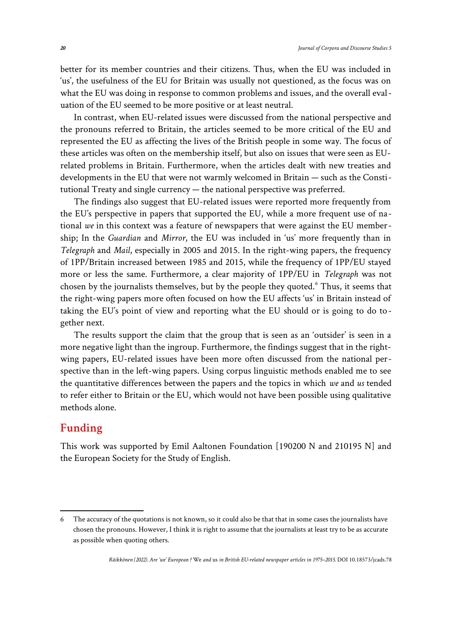better for its member countries and their citizens. Thus, when the EU was included in 'us', the usefulness of the EU for Britain was usually not questioned, as the focus was on what the EU was doing in response to common problems and issues, and the overall evaluation of the EU seemed to be more positive or at least neutral.

In contrast, when EU-related issues were discussed from the national perspective and the pronouns referred to Britain, the articles seemed to be more critical of the EU and represented the EU as affecting the lives of the British people in some way. The focus of these articles was often on the membership itself, but also on issues that were seen as EUrelated problems in Britain. Furthermore, when the articles dealt with new treaties and developments in the EU that were not warmly welcomed in Britain — such as the Constitutional Treaty and single currency — the national perspective was preferred.

The findings also suggest that EU-related issues were reported more frequently from the EU's perspective in papers that supported the EU, while a more frequent use of national *we* in this context was a feature of newspapers that were against the EU membership; In the *Guardian* and *Mirror*, the EU was included in 'us' more frequently than in *Telegraph* and *Mail*, especially in 2005 and 2015. In the right-wing papers, the frequency of 1PP/Britain increased between 1985 and 2015, while the frequency of 1PP/EU stayed more or less the same. Furthermore, a clear majority of 1PP/EU in *Telegraph* was not chosen by the journalists themselves, but by the people they quoted.<sup>[6](#page-19-0)</sup> Thus, it seems that the right-wing papers more often focused on how the EU affects 'us' in Britain instead of taking the EU's point of view and reporting what the EU should or is going to do together next.

The results support the claim that the group that is seen as an 'outsider' is seen in a more negative light than the ingroup. Furthermore, the findings suggest that in the rightwing papers, EU-related issues have been more often discussed from the national perspective than in the left-wing papers. Using corpus linguistic methods enabled me to see the quantitative differences between the papers and the topics in which *we* and *us* tended to refer either to Britain or the EU, which would not have been possible using qualitative methods alone.

### **Funding**

This work was supported by Emil Aaltonen Foundation [190200 N and 210195 N] and the European Society for the Study of English.

<span id="page-19-0"></span><sup>6</sup> The accuracy of the quotations is not known, so it could also be that that in some cases the journalists have chosen the pronouns. However, I think it is right to assume that the journalists at least try to be as accurate as possible when quoting others.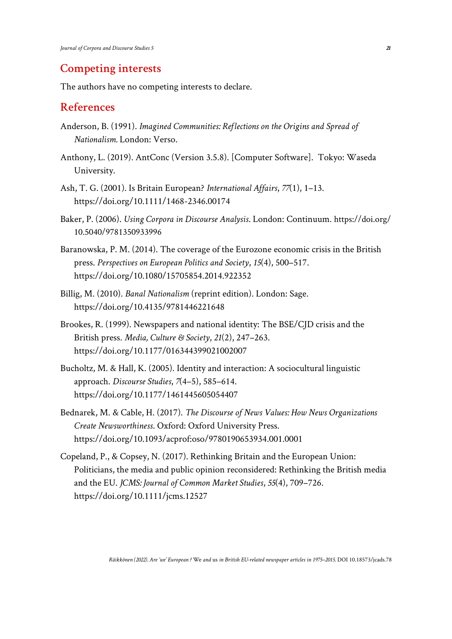#### **Competing interests**

The authors have no competing interests to declare.

### **References**

- Anderson, B. (1991). *Imagined Communities: Reflections on the Origins and Spread of Nationalism.* London: Verso.
- Anthony, L. (2019). AntConc (Version 3.5.8). [Computer Software]. Tokyo: Waseda University.
- Ash, T. G. (2001). Is Britain European? *International Affairs*, *77*(1), 1–13. [https://doi.org/10.1111/1468-2346.00174](https://academic.oup.com/ia/article-abstract/77/1/1/2434655?redirectedFrom=fulltext)
- Baker, P. (2006). *Using Corpora in Discourse Analysis*. London: Continuum. [https://doi.org/](https://www.bloomsburycollections.com/book/using-corpora-in-discourse-analysis/) [10.5040/9781350933996](https://www.bloomsburycollections.com/book/using-corpora-in-discourse-analysis/)
- Baranowska, P. M. (2014). The coverage of the Eurozone economic crisis in the British press. *Perspectives on European Politics and Society*, *15*(4), 500–517. [https://doi.org/10.1080/15705854.2014.922352](https://www.tandfonline.com/doi/abs/10.1080/15705854.2014.922352)
- Billig, M. (2010). *Banal Nationalism* (reprint edition). London: Sage. [https://doi.org/10.4135/9781446221648](https://sk.sagepub.com/books/banal-nationalism)
- Brookes, R. (1999). Newspapers and national identity: The BSE/CJD crisis and the British press. *Media, Culture & Society*, *21*(2), 247–263. [https://doi.org/10.1177/016344399021002007](https://journals.sagepub.com/doi/10.1177/016344399021002007)
- Bucholtz, M. & Hall, K. (2005). Identity and interaction: A sociocultural linguistic approach. *Discourse Studies*, *7*(4–5), 585–614. [https://doi.org/10.1177/1461445605054407](https://journals.sagepub.com/doi/10.1177/1461445605054407)
- Bednarek, M. & Cable, H. (2017). *The Discourse of News Values: How News Organizations Create Newsworthiness*. Oxford: Oxford University Press. [https://doi.org/10.1093/acprof:oso/9780190653934.001.0001](https://oxford.universitypressscholarship.com/view/10.1093/acprof:oso/9780190653934.001.0001/acprof-9780190653934)
- Copeland, P., & Copsey, N. (2017). Rethinking Britain and the European Union: Politicians, the media and public opinion reconsidered: Rethinking the British media and the EU. *JCMS: Journal of Common Market Studies*, *55*(4), 709–726. [https://doi.org/10.1111/jcms.12527](https://onlinelibrary.wiley.com/doi/10.1111/jcms.12527)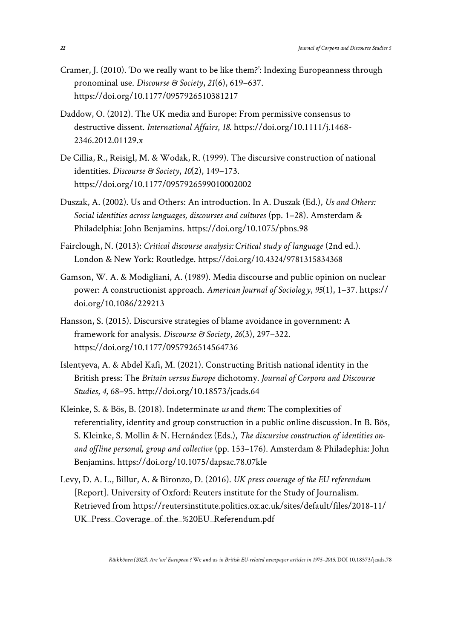- Cramer, J. (2010). 'Do we really want to be like them?': Indexing Europeanness through pronominal use. *Discourse & Society*, *21*(6), 619–637. [https://doi.org/10.1177/0957926510381217](https://journals.sagepub.com/doi/10.1177/0957926510381217)
- Daddow, O. (2012). The UK media and Europe: From permissive consensus to destructive dissent. *International Affairs*, *18*. [https://doi.org/10.1111/j.1468-](https://academic.oup.com/ia/article-abstract/88/6/1219/2326576?redirectedFrom=fulltext) [2346.2012.01129.x](https://academic.oup.com/ia/article-abstract/88/6/1219/2326576?redirectedFrom=fulltext)
- De Cillia, R., Reisigl, M. & Wodak, R. (1999). The discursive construction of national identities. *Discourse & Society*, *10*(2), 149–173. [https://doi.org/10.1177/0957926599010002002](https://journals.sagepub.com/doi/10.1177/0957926599010002002)
- Duszak, A. (2002). Us and Others: An introduction. In A. Duszak (Ed.), *Us and Others: Social identities across languages, discourses and cultures* (pp. 1–28). Amsterdam & Philadelphia: John Benjamins. [https://doi.org/10.1075/pbns.98](https://www.jbe-platform.com/content/books/9789027297365)
- Fairclough, N. (2013): *Critical discourse analysis: Critical study of language* (2nd ed.). London & New York: Routledge. [https://doi.org/10.4324/9781315834368](https://www.taylorfrancis.com/books/mono/10.4324/9781315834368/critical-discourse-analysis-norman-fairclough)
- Gamson, W. A. & Modigliani, A. (1989). Media discourse and public opinion on nuclear power: A constructionist approach. *American Journal of Sociology*, *95*(1), 1–37. [https://](https://www.journals.uchicago.edu/doi/10.1086/229213) [doi.org/10.1086/229213](https://www.journals.uchicago.edu/doi/10.1086/229213)
- Hansson, S. (2015). Discursive strategies of blame avoidance in government: A framework for analysis. *Discourse & Society*, *26*(3), 297–322. [https://doi.org/10.1177/0957926514564736](https://journals.sagepub.com/doi/10.1177/0957926514564736)
- Islentyeva, A. & Abdel Kafi, M. (2021). Constructing British national identity in the British press: The *Britain versus Europe* dichotomy. *Journal of Corpora and Discourse Studies*, *4*, 68–95. [http://doi.org/10.18573/jcads.64](https://jcads.cardiffuniversitypress.org/articles/abstract/10.18573/jcads.64/)
- Kleinke, S. & Bös, B. (2018). Indeterminate *us* and *them*: The complexities of referentiality, identity and group construction in a public online discussion. In B. Bös, S. Kleinke, S. Mollin & N. Hernández (Eds.), *The discursive construction of identities onand offline personal, group and collective* (pp. 153–176). Amsterdam & Philadephia: John Benjamins. [https://doi.org/10.1075/dapsac.78.07kle](https://benjamins.com/catalog/dapsac.78.07kle)
- Levy, D. A. L., Billur, A. & Bironzo, D. (2016). *UK press coverage of the EU referendum*  [Report]. University of Oxford: Reuters institute for the Study of Journalism. Retrieved from https://reutersinstitute.politics.ox.ac.uk/sites/default/files/2018-11/ UK\_Press\_Coverage\_of\_the\_%20EU\_Referendum.pdf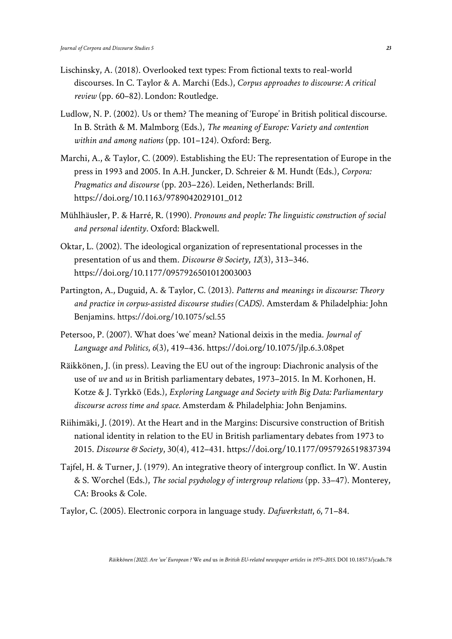- Lischinsky, A. (2018). Overlooked text types: From fictional texts to real-world discourses. In C. Taylor & A. Marchi (Eds.), *Corpus approaches to discourse: A critical review* (pp. 60–82)*.* London: Routledge.
- Ludlow, N. P. (2002). Us or them? The meaning of 'Europe' in British political discourse. In B. Stråth & M. Malmborg (Eds.), *The meaning of Europe: Variety and contention within and among nations* (pp. 101–124). Oxford: Berg.
- Marchi, A., & Taylor, C. (2009). Establishing the EU: The representation of Europe in the press in 1993 and 2005. In A.H. Juncker, D. Schreier & M. Hundt (Eds.), *Corpora: Pragmatics and discourse* (pp. 203–226). Leiden, Netherlands: Brill. [https://doi.org/10.1163/9789042029101\\_012](https://brill.com/view/book/9789042029101/B9789042029101-s012.xml)
- Mühlhäusler, P. & Harré, R. (1990). *Pronouns and people: The linguistic construction of social and personal identity*. Oxford: Blackwell.
- Oktar, L. (2002). The ideological organization of representational processes in the presentation of us and them. *Discourse & Society*, *12*(3), 313–346. [https://doi.org/10.1177/0957926501012003003](https://journals.sagepub.com/doi/10.1177/0957926501012003003)
- Partington, A., Duguid, A. & Taylor, C. (2013). *Patterns and meanings in discourse: Theory and practice in corpus-assisted discourse studies (CADS)*. Amsterdam & Philadelphia: John Benjamins. [https://doi.org/10.1075/scl.55](https://www.jbe-platform.com/content/books/9789027272126)
- Petersoo, P. (2007). What does 'we' mean? National deixis in the media. *Journal of Language and Politics*, *6*(3), 419–436. [https://doi.org/10.1075/jlp.6.3.08pet](https://www.jbe-platform.com/content/journals/10.1075/jlp.6.3.08pet)
- Räikkönen, J. (in press). Leaving the EU out of the ingroup: Diachronic analysis of the use of *we* and *us* in British parliamentary debates, 1973–2015. In M. Korhonen, H. Kotze & J. Tyrkkö (Eds.), *Exploring Language and Society with Big Data: Parliamentary discourse across time and space.* Amsterdam & Philadelphia: John Benjamins.
- Riihimäki, J. (2019). At the Heart and in the Margins: Discursive construction of British national identity in relation to the EU in British parliamentary debates from 1973 to 2015. *Discourse & Society*, 30(4), 412–431. [https://doi.org/10.1177/0957926519837394](https://journals.sagepub.com/doi/10.1177/0957926519837394)
- Tajfel, H. & Turner, J. (1979). An integrative theory of intergroup conflict. In W. Austin & S. Worchel (Eds.), *The social psychology of intergroup relations* (pp. 33–47). Monterey, CA: Brooks & Cole.
- Taylor, C. (2005). Electronic corpora in language study. *Dafwerkstatt*, *6*, 71–84.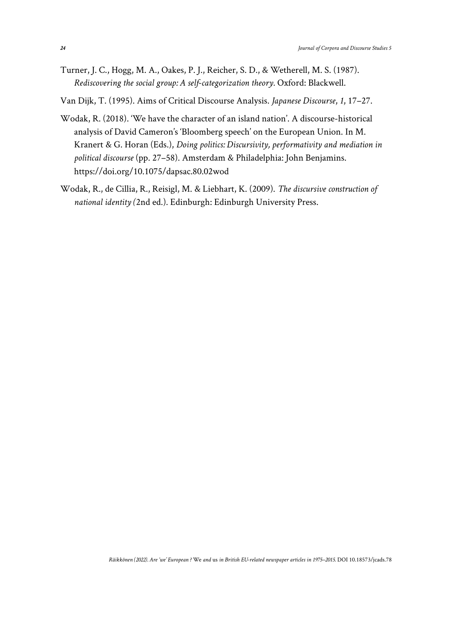- Turner, J. C., Hogg, M. A., Oakes, P. J., Reicher, S. D., & Wetherell, M. S. (1987). *Rediscovering the social group: A self-categorization theory.* Oxford: Blackwell.
- Van Dijk, T. (1995). Aims of Critical Discourse Analysis. *Japanese Discourse*, *1*, 17–27.
- Wodak, R. (2018). 'We have the character of an island nation'. A discourse-historical analysis of David Cameron's 'Bloomberg speech' on the European Union. In M. Kranert & G. Horan (Eds.), *Doing politics: Discursivity, performativity and mediation in political discourse* (pp. 27–58). Amsterdam & Philadelphia: John Benjamins. [https://doi.org/10.1075/dapsac.80.02wod](https://benjamins.com/catalog/dapsac.80.02wod)
- Wodak, R., de Cillia, R., Reisigl, M. & Liebhart, K. (2009). *The discursive construction of national identity (*2nd ed.). Edinburgh: Edinburgh University Press.